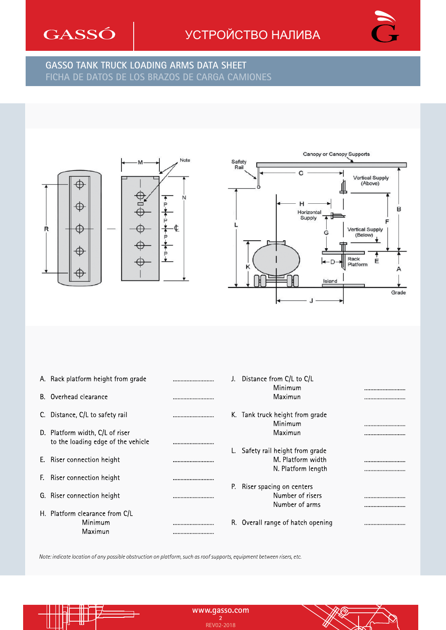

## УСТРОЙСТВО НАЛИВА **BRAZOS DE CARGA · LOADING ARMS**



#### **GASSO TANK TRUCK LOADING ARMS DATA SHEET FICHA DE DATOS DE LOS BRAZOS DE CARGA CAMIONES FICHA DE DATOS DE LOS BRAZOS DE CARGA CAMIONES GASSO TANK TRUCK LOADING ARMS DATA SHEET**





| A. Rack platform height from grade                                    |      | J. Distance from C/L to C/L<br>Minimum                |      |
|-----------------------------------------------------------------------|------|-------------------------------------------------------|------|
| B. Overhead clearance                                                 |      | Maximun                                               |      |
| C. Distance, C/L to safety rail                                       |      | K. Tank truck height from grade<br>Minimum            |      |
| D. Platform width, C/L of riser<br>to the loading edge of the vehicle |      | Maximun                                               |      |
| E. Riser connection height                                            |      | L. Safety rail height from grade<br>M. Platform width |      |
| F. Riser connection height                                            |      | N. Platform length<br>P. Riser spacing on centers     |      |
| G. Riser connection height                                            |      | Number of risers<br>Number of arms                    | <br> |
| H. Platform clearance from C/L<br>Minimum<br>Maximun                  | <br> | R. Overall range of hatch opening                     |      |

*Note: indicate location of any possible obstruction on platform, such as roof supports, equipment between risers, etc.*

∰

ℿ

Ъ

**www.gasso.com www.gasso.com 2** REV02-2018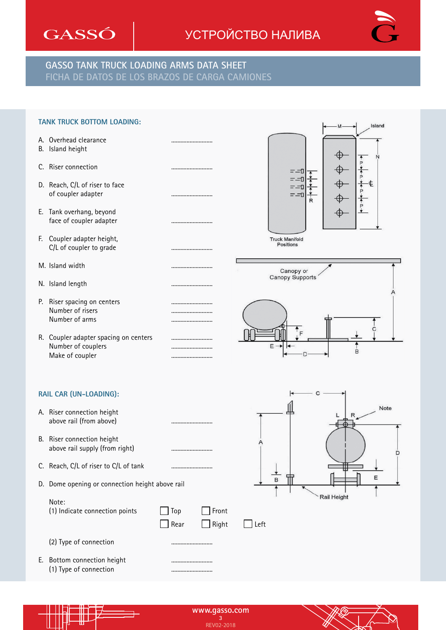

#### УСТРОЙСТВО НАЛИВА **BRAZOS DE CARGA · LOADING ARMS**



#### **GASSO TANK TRUCK LOADING ARMS DATA SHEET FICHA DE DATOS DE LOS BRAZOS DE CARGA CAMIONES FICHA DE DATOS DE LOS BRAZOS DE CARGA CAMIONES GASSO TANK TRUCK LOADING ARMS DATA SHEET**

| <b>TANK TRUCK BOTTOM LOADING:</b>                                              | Island                                        |
|--------------------------------------------------------------------------------|-----------------------------------------------|
| A. Overhead clearance<br>B. Island height                                      | <br>⊕                                         |
| C. Riser connection                                                            | <br>⊓⊏⊤                                       |
| D. Reach, C/L of riser to face<br>of coupler adapter                           | <br>⊓⊏-⊤<br>R                                 |
| E. Tank overhang, beyond<br>face of coupler adapter                            |                                               |
| F. Coupler adapter height,<br>C/L of coupler to grade                          | <br><b>Truck Manifold</b><br><b>Positions</b> |
| M. Island width                                                                | Canopy or                                     |
| N. Island length                                                               | Canopy Supports                               |
| P. Riser spacing on centers<br>Number of risers<br>Number of arms              |                                               |
| R. Coupler adapter spacing on centers<br>Number of couplers<br>Make of coupler | <br><br>$\uparrow$ <sub>F</sub><br>E -<br>B   |
| RAIL CAR (UN-LOADING):                                                         |                                               |
| A. Riser connection height<br>above rail (from above)                          | <br>Note<br>$\mathsf{R}$                      |

- B. Riser connection height above rail supply (from right)
- C. Reach, C/L of riser to C/L of tank ...........................
- D. Dome opening or connection height above rail

(1) Indicate connection points  $\Box$  Top  $\Box$  Front



(2) Type of connection ...........................

Note:

E. Bottom connection height ........................... (1) Type of connection

> **www.gasso.com 3 a**<br>REV02-2018

Rear Right Left